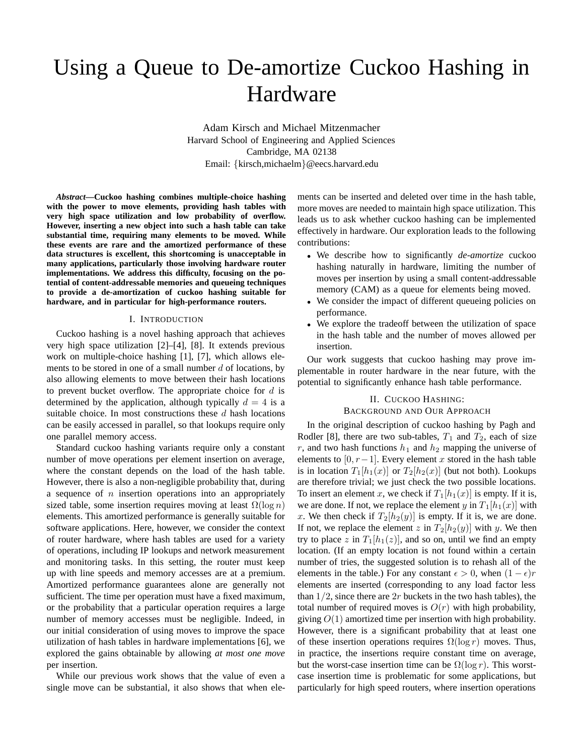# Using a Queue to De-amortize Cuckoo Hashing in Hardware

Adam Kirsch and Michael Mitzenmacher Harvard School of Engineering and Applied Sciences Cambridge, MA 02138 Email: {kirsch,michaelm}@eecs.harvard.edu

*Abstract***—Cuckoo hashing combines multiple-choice hashing with the power to move elements, providing hash tables with very high space utilization and low probability of overflow. However, inserting a new object into such a hash table can take substantial time, requiring many elements to be moved. While these events are rare and the amortized performance of these data structures is excellent, this shortcoming is unacceptable in many applications, particularly those involving hardware router implementations. We address this difficulty, focusing on the potential of content-addressable memories and queueing techniques to provide a de-amortization of cuckoo hashing suitable for hardware, and in particular for high-performance routers.**

#### I. INTRODUCTION

Cuckoo hashing is a novel hashing approach that achieves very high space utilization [2]–[4], [8]. It extends previous work on multiple-choice hashing [1], [7], which allows elements to be stored in one of a small number  $d$  of locations, by also allowing elements to move between their hash locations to prevent bucket overflow. The appropriate choice for  $d$  is determined by the application, although typically  $d = 4$  is a suitable choice. In most constructions these  $d$  hash locations can be easily accessed in parallel, so that lookups require only one parallel memory access.

Standard cuckoo hashing variants require only a constant number of move operations per element insertion on average, where the constant depends on the load of the hash table. However, there is also a non-negligible probability that, during a sequence of  $n$  insertion operations into an appropriately sized table, some insertion requires moving at least  $\Omega(\log n)$ elements. This amortized performance is generally suitable for software applications. Here, however, we consider the context of router hardware, where hash tables are used for a variety of operations, including IP lookups and network measurement and monitoring tasks. In this setting, the router must keep up with line speeds and memory accesses are at a premium. Amortized performance guarantees alone are generally not sufficient. The time per operation must have a fixed maximum, or the probability that a particular operation requires a large number of memory accesses must be negligible. Indeed, in our initial consideration of using moves to improve the space utilization of hash tables in hardware implementations [6], we explored the gains obtainable by allowing *at most one move* per insertion.

While our previous work shows that the value of even a single move can be substantial, it also shows that when elements can be inserted and deleted over time in the hash table, more moves are needed to maintain high space utilization. This leads us to ask whether cuckoo hashing can be implemented effectively in hardware. Our exploration leads to the following contributions:

- We describe how to significantly *de-amortize* cuckoo hashing naturally in hardware, limiting the number of moves per insertion by using a small content-addressable memory (CAM) as a queue for elements being moved.
- We consider the impact of different queueing policies on performance.
- We explore the tradeoff between the utilization of space in the hash table and the number of moves allowed per insertion.

Our work suggests that cuckoo hashing may prove implementable in router hardware in the near future, with the potential to significantly enhance hash table performance.

## II. CUCKOO HASHING: BACKGROUND AND OUR APPROACH

In the original description of cuckoo hashing by Pagh and Rodler [8], there are two sub-tables,  $T_1$  and  $T_2$ , each of size r, and two hash functions  $h_1$  and  $h_2$  mapping the universe of elements to [0,  $r-1$ ]. Every element x stored in the hash table is in location  $T_1[h_1(x)]$  or  $T_2[h_2(x)]$  (but not both). Lookups are therefore trivial; we just check the two possible locations. To insert an element x, we check if  $T_1[h_1(x)]$  is empty. If it is, we are done. If not, we replace the element y in  $T_1[h_1(x)]$  with x. We then check if  $T_2[h_2(y)]$  is empty. If it is, we are done. If not, we replace the element z in  $T_2[h_2(y)]$  with y. We then try to place z in  $T_1[h_1(z)]$ , and so on, until we find an empty location. (If an empty location is not found within a certain number of tries, the suggested solution is to rehash all of the elements in the table.) For any constant  $\epsilon > 0$ , when  $(1 - \epsilon)r$ elements are inserted (corresponding to any load factor less than  $1/2$ , since there are  $2r$  buckets in the two hash tables), the total number of required moves is  $O(r)$  with high probability, giving  $O(1)$  amortized time per insertion with high probability. However, there is a significant probability that at least one of these insertion operations requires  $\Omega(\log r)$  moves. Thus, in practice, the insertions require constant time on average, but the worst-case insertion time can be  $\Omega(\log r)$ . This worstcase insertion time is problematic for some applications, but particularly for high speed routers, where insertion operations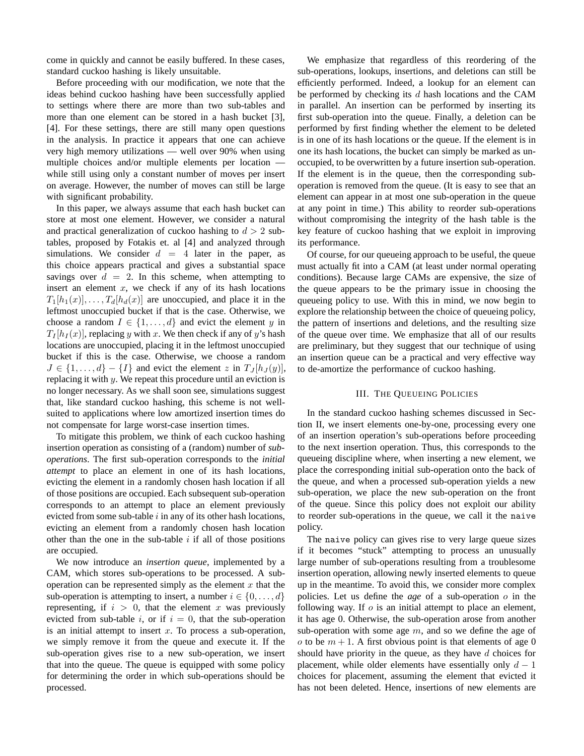come in quickly and cannot be easily buffered. In these cases, standard cuckoo hashing is likely unsuitable.

Before proceeding with our modification, we note that the ideas behind cuckoo hashing have been successfully applied to settings where there are more than two sub-tables and more than one element can be stored in a hash bucket [3], [4]. For these settings, there are still many open questions in the analysis. In practice it appears that one can achieve very high memory utilizations — well over 90% when using multiple choices and/or multiple elements per location while still using only a constant number of moves per insert on average. However, the number of moves can still be large with significant probability.

In this paper, we always assume that each hash bucket can store at most one element. However, we consider a natural and practical generalization of cuckoo hashing to  $d > 2$  subtables, proposed by Fotakis et. al [4] and analyzed through simulations. We consider  $d = 4$  later in the paper, as this choice appears practical and gives a substantial space savings over  $d = 2$ . In this scheme, when attempting to insert an element  $x$ , we check if any of its hash locations  $T_1[h_1(x)], \ldots, T_d[h_d(x)]$  are unoccupied, and place it in the leftmost unoccupied bucket if that is the case. Otherwise, we choose a random  $I \in \{1, \ldots, d\}$  and evict the element y in  $T_I[h_I(x)]$ , replacing y with x. We then check if any of y's hash locations are unoccupied, placing it in the leftmost unoccupied bucket if this is the case. Otherwise, we choose a random  $J \in \{1, \ldots, d\} - \{I\}$  and evict the element z in  $T_J[h_J(y)],$ replacing it with y. We repeat this procedure until an eviction is no longer necessary. As we shall soon see, simulations suggest that, like standard cuckoo hashing, this scheme is not wellsuited to applications where low amortized insertion times do not compensate for large worst-case insertion times.

To mitigate this problem, we think of each cuckoo hashing insertion operation as consisting of a (random) number of *suboperations*. The first sub-operation corresponds to the *initial attempt* to place an element in one of its hash locations, evicting the element in a randomly chosen hash location if all of those positions are occupied. Each subsequent sub-operation corresponds to an attempt to place an element previously evicted from some sub-table  $i$  in any of its other hash locations, evicting an element from a randomly chosen hash location other than the one in the sub-table  $i$  if all of those positions are occupied.

We now introduce an *insertion queue*, implemented by a CAM, which stores sub-operations to be processed. A suboperation can be represented simply as the element  $x$  that the sub-operation is attempting to insert, a number  $i \in \{0, \ldots, d\}$ representing, if  $i > 0$ , that the element x was previously evicted from sub-table i, or if  $i = 0$ , that the sub-operation is an initial attempt to insert  $x$ . To process a sub-operation, we simply remove it from the queue and execute it. If the sub-operation gives rise to a new sub-operation, we insert that into the queue. The queue is equipped with some policy for determining the order in which sub-operations should be processed.

We emphasize that regardless of this reordering of the sub-operations, lookups, insertions, and deletions can still be efficiently performed. Indeed, a lookup for an element can be performed by checking its  $d$  hash locations and the CAM in parallel. An insertion can be performed by inserting its first sub-operation into the queue. Finally, a deletion can be performed by first finding whether the element to be deleted is in one of its hash locations or the queue. If the element is in one its hash locations, the bucket can simply be marked as unoccupied, to be overwritten by a future insertion sub-operation. If the element is in the queue, then the corresponding suboperation is removed from the queue. (It is easy to see that an element can appear in at most one sub-operation in the queue at any point in time.) This ability to reorder sub-operations without compromising the integrity of the hash table is the key feature of cuckoo hashing that we exploit in improving its performance.

Of course, for our queueing approach to be useful, the queue must actually fit into a CAM (at least under normal operating conditions). Because large CAMs are expensive, the size of the queue appears to be the primary issue in choosing the queueing policy to use. With this in mind, we now begin to explore the relationship between the choice of queueing policy, the pattern of insertions and deletions, and the resulting size of the queue over time. We emphasize that all of our results are preliminary, but they suggest that our technique of using an insertion queue can be a practical and very effective way to de-amortize the performance of cuckoo hashing.

## III. THE QUEUEING POLICIES

In the standard cuckoo hashing schemes discussed in Section II, we insert elements one-by-one, processing every one of an insertion operation's sub-operations before proceeding to the next insertion operation. Thus, this corresponds to the queueing discipline where, when inserting a new element, we place the corresponding initial sub-operation onto the back of the queue, and when a processed sub-operation yields a new sub-operation, we place the new sub-operation on the front of the queue. Since this policy does not exploit our ability to reorder sub-operations in the queue, we call it the naive policy.

The naive policy can gives rise to very large queue sizes if it becomes "stuck" attempting to process an unusually large number of sub-operations resulting from a troublesome insertion operation, allowing newly inserted elements to queue up in the meantime. To avoid this, we consider more complex policies. Let us define the *age* of a sub-operation o in the following way. If  $o$  is an initial attempt to place an element, it has age 0. Otherwise, the sub-operation arose from another sub-operation with some age  $m$ , and so we define the age of o to be  $m + 1$ . A first obvious point is that elements of age 0 should have priority in the queue, as they have  $d$  choices for placement, while older elements have essentially only  $d-1$ choices for placement, assuming the element that evicted it has not been deleted. Hence, insertions of new elements are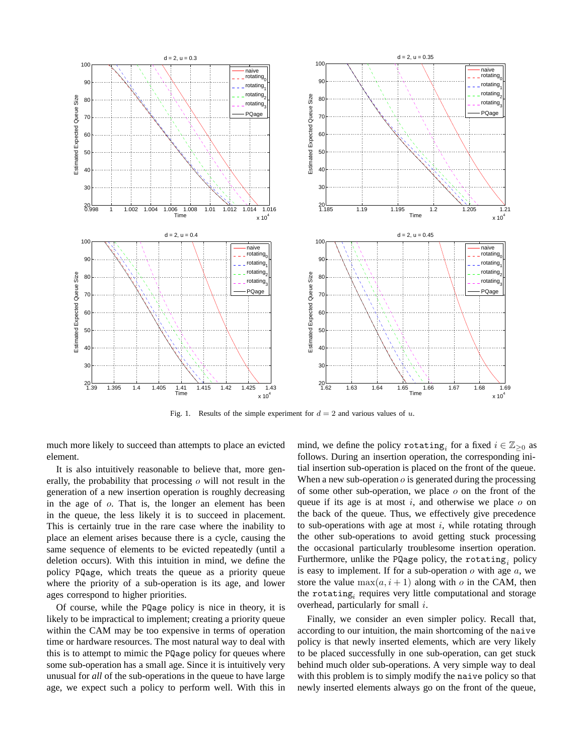

Fig. 1. Results of the simple experiment for  $d = 2$  and various values of  $u$ .

much more likely to succeed than attempts to place an evicted element.

It is also intuitively reasonable to believe that, more generally, the probability that processing o will not result in the generation of a new insertion operation is roughly decreasing in the age of o. That is, the longer an element has been in the queue, the less likely it is to succeed in placement. This is certainly true in the rare case where the inability to place an element arises because there is a cycle, causing the same sequence of elements to be evicted repeatedly (until a deletion occurs). With this intuition in mind, we define the policy PQage, which treats the queue as a priority queue where the priority of a sub-operation is its age, and lower ages correspond to higher priorities.

Of course, while the PQage policy is nice in theory, it is likely to be impractical to implement; creating a priority queue within the CAM may be too expensive in terms of operation time or hardware resources. The most natural way to deal with this is to attempt to mimic the PQage policy for queues where some sub-operation has a small age. Since it is intuitively very unusual for *all* of the sub-operations in the queue to have large age, we expect such a policy to perform well. With this in mind, we define the policy rotating<sub>*i*</sub> for a fixed  $i \in \mathbb{Z}_{\geq 0}$  as follows. During an insertion operation, the corresponding initial insertion sub-operation is placed on the front of the queue. When a new sub-operation  $o$  is generated during the processing of some other sub-operation, we place  $\sigma$  on the front of the queue if its age is at most  $i$ , and otherwise we place  $o$  on the back of the queue. Thus, we effectively give precedence to sub-operations with age at most  $i$ , while rotating through the other sub-operations to avoid getting stuck processing the occasional particularly troublesome insertion operation. Furthermore, unlike the PQage policy, the rotating*<sup>i</sup>* policy is easy to implement. If for a sub-operation  $o$  with age  $a$ , we store the value  $\max(a, i + 1)$  along with o in the CAM, then the rotating*<sup>i</sup>* requires very little computational and storage overhead, particularly for small i.

Finally, we consider an even simpler policy. Recall that, according to our intuition, the main shortcoming of the naive policy is that newly inserted elements, which are very likely to be placed successfully in one sub-operation, can get stuck behind much older sub-operations. A very simple way to deal with this problem is to simply modify the naive policy so that newly inserted elements always go on the front of the queue,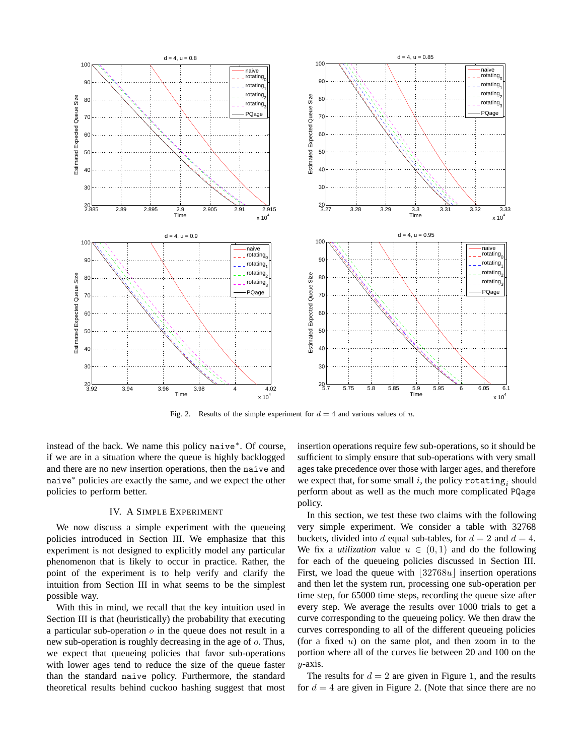![](_page_3_Figure_0.jpeg)

Fig. 2. Results of the simple experiment for  $d = 4$  and various values of  $u$ .

instead of the back. We name this policy naive<sup>∗</sup>. Of course, if we are in a situation where the queue is highly backlogged and there are no new insertion operations, then the naive and naive<sup>∗</sup> policies are exactly the same, and we expect the other policies to perform better.

### IV. A SIMPLE EXPERIMENT

We now discuss a simple experiment with the queueing policies introduced in Section III. We emphasize that this experiment is not designed to explicitly model any particular phenomenon that is likely to occur in practice. Rather, the point of the experiment is to help verify and clarify the intuition from Section III in what seems to be the simplest possible way.

With this in mind, we recall that the key intuition used in Section III is that (heuristically) the probability that executing a particular sub-operation  $o$  in the queue does not result in a new sub-operation is roughly decreasing in the age of o. Thus, we expect that queueing policies that favor sub-operations with lower ages tend to reduce the size of the queue faster than the standard naive policy. Furthermore, the standard theoretical results behind cuckoo hashing suggest that most

insertion operations require few sub-operations, so it should be sufficient to simply ensure that sub-operations with very small ages take precedence over those with larger ages, and therefore we expect that, for some small i, the policy rotating<sub>i</sub> should perform about as well as the much more complicated PQage policy.

In this section, we test these two claims with the following very simple experiment. We consider a table with 32768 buckets, divided into d equal sub-tables, for  $d = 2$  and  $d = 4$ . We fix a *utilization* value  $u \in (0,1)$  and do the following for each of the queueing policies discussed in Section III. First, we load the queue with  $\left[\frac{32768u}{\text{s}}\right]$  insertion operations and then let the system run, processing one sub-operation per time step, for 65000 time steps, recording the queue size after every step. We average the results over 1000 trials to get a curve corresponding to the queueing policy. We then draw the curves corresponding to all of the different queueing policies (for a fixed  $u$ ) on the same plot, and then zoom in to the portion where all of the curves lie between 20 and 100 on the  $y$ -axis.

The results for  $d = 2$  are given in Figure 1, and the results for  $d = 4$  are given in Figure 2. (Note that since there are no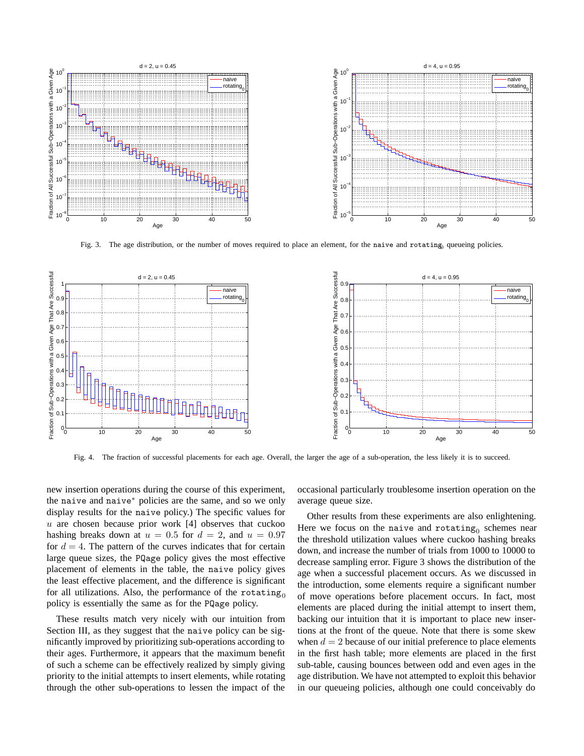![](_page_4_Figure_0.jpeg)

Fig. 3. The age distribution, or the number of moves required to place an element, for the naive and rotating, queueing policies.

![](_page_4_Figure_2.jpeg)

Fig. 4. The fraction of successful placements for each age. Overall, the larger the age of a sub-operation, the less likely it is to succeed.

new insertion operations during the course of this experiment, the naive and naive<sup>∗</sup> policies are the same, and so we only display results for the naive policy.) The specific values for  $u$  are chosen because prior work [4] observes that cuckoo hashing breaks down at  $u = 0.5$  for  $d = 2$ , and  $u = 0.97$ for  $d = 4$ . The pattern of the curves indicates that for certain large queue sizes, the PQage policy gives the most effective placement of elements in the table, the naive policy gives the least effective placement, and the difference is significant for all utilizations. Also, the performance of the rotating<sub>0</sub> policy is essentially the same as for the PQage policy.

These results match very nicely with our intuition from Section III, as they suggest that the naive policy can be significantly improved by prioritizing sub-operations according to their ages. Furthermore, it appears that the maximum benefit of such a scheme can be effectively realized by simply giving priority to the initial attempts to insert elements, while rotating through the other sub-operations to lessen the impact of the

occasional particularly troublesome insertion operation on the average queue size.

Other results from these experiments are also enlightening. Here we focus on the naive and rotating<sub>0</sub> schemes near the threshold utilization values where cuckoo hashing breaks down, and increase the number of trials from 1000 to 10000 to decrease sampling error. Figure 3 shows the distribution of the age when a successful placement occurs. As we discussed in the introduction, some elements require a significant number of move operations before placement occurs. In fact, most elements are placed during the initial attempt to insert them, backing our intuition that it is important to place new insertions at the front of the queue. Note that there is some skew when  $d = 2$  because of our initial preference to place elements in the first hash table; more elements are placed in the first sub-table, causing bounces between odd and even ages in the age distribution. We have not attempted to exploit this behavior in our queueing policies, although one could conceivably do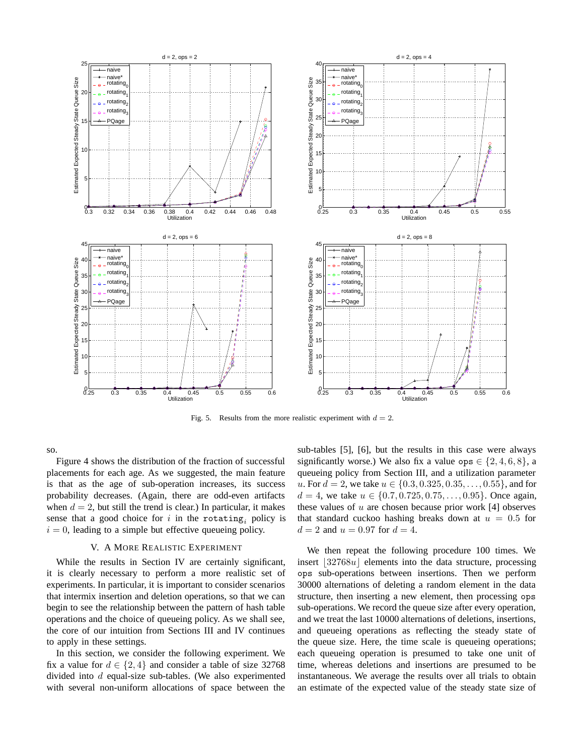![](_page_5_Figure_0.jpeg)

Fig. 5. Results from the more realistic experiment with  $d = 2$ .

so.

Figure 4 shows the distribution of the fraction of successful placements for each age. As we suggested, the main feature is that as the age of sub-operation increases, its success probability decreases. (Again, there are odd-even artifacts when  $d = 2$ , but still the trend is clear.) In particular, it makes sense that a good choice for  $i$  in the rotating<sub>i</sub> policy is  $i = 0$ , leading to a simple but effective queueing policy.

#### V. A MORE REALISTIC EXPERIMENT

While the results in Section IV are certainly significant, it is clearly necessary to perform a more realistic set of experiments. In particular, it is important to consider scenarios that intermix insertion and deletion operations, so that we can begin to see the relationship between the pattern of hash table operations and the choice of queueing policy. As we shall see, the core of our intuition from Sections III and IV continues to apply in these settings.

In this section, we consider the following experiment. We fix a value for  $d \in \{2, 4\}$  and consider a table of size 32768 divided into  $d$  equal-size sub-tables. (We also experimented with several non-uniform allocations of space between the

sub-tables [5], [6], but the results in this case were always significantly worse.) We also fix a value ops  $\in \{2, 4, 6, 8\}$ , a queueing policy from Section III, and a utilization parameter u. For  $d = 2$ , we take  $u \in \{0.3, 0.325, 0.35, \ldots, 0.55\}$ , and for  $d = 4$ , we take  $u \in \{0.7, 0.725, 0.75, \ldots, 0.95\}$ . Once again, these values of  $u$  are chosen because prior work [4] observes that standard cuckoo hashing breaks down at  $u = 0.5$  for  $d = 2$  and  $u = 0.97$  for  $d = 4$ .

We then repeat the following procedure 100 times. We  $\frac{132768u}{10000}$  elements into the data structure, processing ops sub-operations between insertions. Then we perform 30000 alternations of deleting a random element in the data structure, then inserting a new element, then processing ops sub-operations. We record the queue size after every operation, and we treat the last 10000 alternations of deletions, insertions, and queueing operations as reflecting the steady state of the queue size. Here, the time scale is queueing operations; each queueing operation is presumed to take one unit of time, whereas deletions and insertions are presumed to be instantaneous. We average the results over all trials to obtain an estimate of the expected value of the steady state size of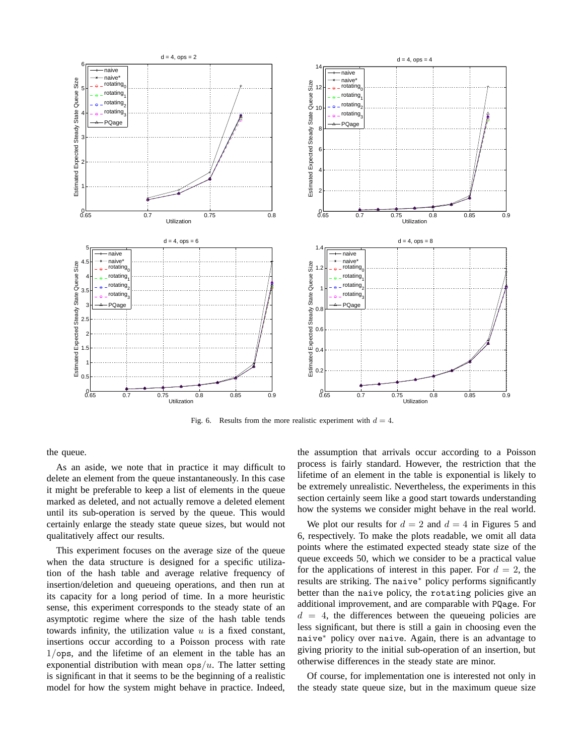![](_page_6_Figure_0.jpeg)

Fig. 6. Results from the more realistic experiment with  $d = 4$ .

the queue.

As an aside, we note that in practice it may difficult to delete an element from the queue instantaneously. In this case it might be preferable to keep a list of elements in the queue marked as deleted, and not actually remove a deleted element until its sub-operation is served by the queue. This would certainly enlarge the steady state queue sizes, but would not qualitatively affect our results.

This experiment focuses on the average size of the queue when the data structure is designed for a specific utilization of the hash table and average relative frequency of insertion/deletion and queueing operations, and then run at its capacity for a long period of time. In a more heuristic sense, this experiment corresponds to the steady state of an asymptotic regime where the size of the hash table tends towards infinity, the utilization value  $u$  is a fixed constant, insertions occur according to a Poisson process with rate 1/ops, and the lifetime of an element in the table has an exponential distribution with mean  $ops/u$ . The latter setting is significant in that it seems to be the beginning of a realistic model for how the system might behave in practice. Indeed,

the assumption that arrivals occur according to a Poisson process is fairly standard. However, the restriction that the lifetime of an element in the table is exponential is likely to be extremely unrealistic. Nevertheless, the experiments in this section certainly seem like a good start towards understanding how the systems we consider might behave in the real world.

We plot our results for  $d = 2$  and  $d = 4$  in Figures 5 and 6, respectively. To make the plots readable, we omit all data points where the estimated expected steady state size of the queue exceeds 50, which we consider to be a practical value for the applications of interest in this paper. For  $d = 2$ , the results are striking. The naive<sup>∗</sup> policy performs significantly better than the naive policy, the rotating policies give an additional improvement, and are comparable with PQage. For  $d = 4$ , the differences between the queueing policies are less significant, but there is still a gain in choosing even the naive<sup>∗</sup> policy over naive. Again, there is an advantage to giving priority to the initial sub-operation of an insertion, but otherwise differences in the steady state are minor.

Of course, for implementation one is interested not only in the steady state queue size, but in the maximum queue size